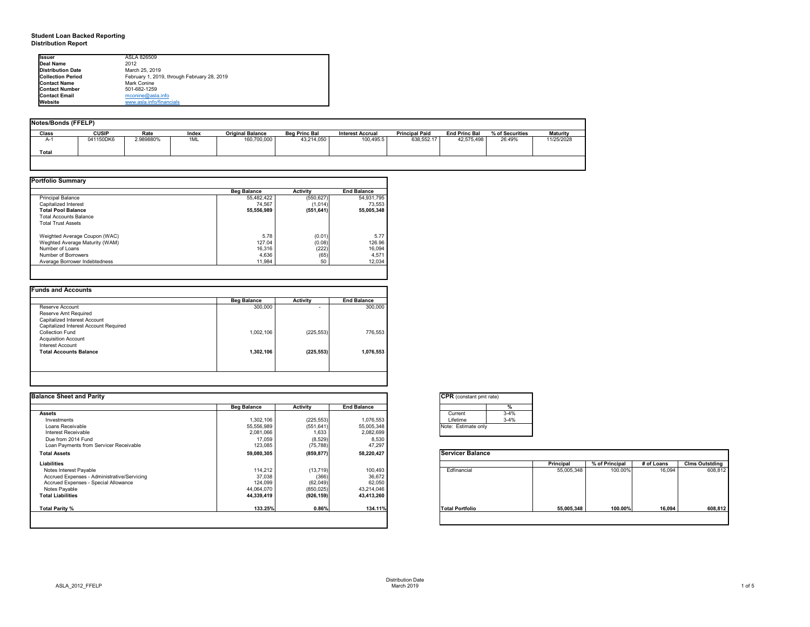## **Student Loan Backed Reporting Distribution Report**

### **Notes/Bonds (FFELP)**

| Notes/Bonds (FFELP) |              |           |       |                         |                      |                         |                       |                      |                 |                 |
|---------------------|--------------|-----------|-------|-------------------------|----------------------|-------------------------|-----------------------|----------------------|-----------------|-----------------|
| <b>Class</b>        | <b>CUSIP</b> | Rate      | Index | <b>Original Balance</b> | <b>Beg Princ Bal</b> | <b>Interest Accrual</b> | <b>Principal Paid</b> | <b>End Princ Bal</b> | % of Securities | <b>Maturity</b> |
| $A-1$               | 041150DK6    | 2.989880% | 1ML   | 160,700,000             | 43,214,050           | 100,495.5               | 638,552.17            | 42,575,498           | 26.49%          | 11/25/2028      |
| <b>Total</b>        |              |           |       |                         |                      |                         |                       |                      |                 |                 |
|                     |              |           |       |                         |                      |                         |                       |                      |                 |                 |

| <b>Portfolio Summary</b>       |                    |                 |                    |
|--------------------------------|--------------------|-----------------|--------------------|
|                                | <b>Beg Balance</b> | <b>Activity</b> | <b>End Balance</b> |
| <b>Principal Balance</b>       | 55,482,422         | (550, 627)      | 54,931,795         |
| Capitalized Interest           | 74,567             | (1,014)         | 73,553             |
| <b>Total Pool Balance</b>      | 55,556,989         | (551, 641)      | 55,005,348         |
| <b>Total Accounts Balance</b>  |                    |                 |                    |
| <b>Total Trust Assets</b>      |                    |                 |                    |
| Weighted Average Coupon (WAC)  | 5.78               | (0.01)          | 5.77               |
| Weghted Average Maturity (WAM) | 127.04             | (0.08)          | 126.96             |
| Number of Loans                | 16,316             | (222)           | 16,094             |
| Number of Borrowers            | 4,636              | (65)            | 4,571              |
| Average Borrower Indebtedness  | 11,984             | 50              | 12,034             |

|                                       | <b>Beg Balance</b> | <b>Activity</b> | <b>End Balance</b> |
|---------------------------------------|--------------------|-----------------|--------------------|
| Reserve Account                       | 300,000            | $\blacksquare$  | 300,000            |
| Reserve Amt Required                  |                    |                 |                    |
| Capitalized Interest Account          |                    |                 |                    |
| Capitalized Interest Account Required |                    |                 |                    |
| <b>Collection Fund</b>                | 1,002,106          | (225, 553)      | 776,553            |
| <b>Acquisition Account</b>            |                    |                 |                    |
| <b>Interest Account</b>               |                    |                 |                    |
| <b>Total Accounts Balance</b>         | 1,302,106          | (225, 553)      | 1,076,553          |
|                                       |                    |                 |                    |
|                                       |                    |                 |                    |

| onstant pmt rate) |          |
|-------------------|----------|
|                   | %        |
| ent               | $3-4%$   |
| me                | $3 - 4%$ |
| stimate only      |          |
|                   |          |

| <b>I</b> lssuer          | ASLA 826509                                 |
|--------------------------|---------------------------------------------|
| Deal Name                | 2012                                        |
| Distribution Date        | March 25, 2019                              |
| <b>Collection Period</b> | February 1, 2019, through February 28, 2019 |
| <b>Contact Name</b>      | <b>Mark Conine</b>                          |
| <b>Contact Number</b>    | 501-682-1259                                |
| <b>Contact Email</b>     | $m$ conine@asla.info                        |
| <b>Website</b>           | www.asla.info/financials                    |

| <b>Balance Sheet and Parity</b>             |                    |                 |                    | <b>CPR</b> (constant pmt rate) |          |            |                |            |                       |
|---------------------------------------------|--------------------|-----------------|--------------------|--------------------------------|----------|------------|----------------|------------|-----------------------|
|                                             | <b>Beg Balance</b> | <b>Activity</b> | <b>End Balance</b> |                                |          |            |                |            |                       |
| <b>Assets</b>                               |                    |                 |                    | Current                        | $3 - 4%$ |            |                |            |                       |
| Investments                                 | 1,302,106          | (225, 553)      | 1,076,553          | Lifetime                       | $3 - 4%$ |            |                |            |                       |
| Loans Receivable                            | 55,556,989         | (551, 641)      | 55,005,348         | Note: Estimate only            |          |            |                |            |                       |
| Interest Receivable                         | 2,081,066          | 1,633           | 2,082,699          |                                |          |            |                |            |                       |
| Due from 2014 Fund                          | 17,059             | (8,529)         | 8,530              |                                |          |            |                |            |                       |
| Loan Payments from Servicer Receivable      | 123,085            | (75, 788)       | 47,297             |                                |          |            |                |            |                       |
| <b>Total Assets</b>                         | 59,080,305         | (859, 877)      | 58,220,427         | <b>Servicer Balance</b>        |          |            |                |            |                       |
| <b>Liabilities</b>                          |                    |                 |                    |                                |          | Principal  | % of Principal | # of Loans | <b>Clms Outstding</b> |
| Notes Interest Payable                      | 114,212            | (13, 719)       | 100,493            | Edfinancial                    |          | 55,005,348 | 100.00%        | 16,094     | 608,812               |
| Accrued Expenses - Administrative/Servicing | 37,038             | (366)           | 36,672             |                                |          |            |                |            |                       |
| Accrued Expenses - Special Allowance        | 124,099            | (62,049)        | 62,050             |                                |          |            |                |            |                       |
| Notes Payable                               | 44,064,070         | (850, 025)      | 43,214,046         |                                |          |            |                |            |                       |
| <b>Total Liabilities</b>                    | 44,339,419         | (926, 159)      | 43,413,260         |                                |          |            |                |            |                       |
| Total Parity %                              | 133.25%            | 0.86%           | 134.11%            | <b>Total Portfolio</b>         |          | 55,005,348 | 100.00%        | 16,094     | 608,812               |
|                                             |                    |                 |                    |                                |          |            |                |            |                       |

|                        | <b>Principal</b> | % of Principal | # of Loans | <b>Clms Outstding</b> |
|------------------------|------------------|----------------|------------|-----------------------|
| Edfinancial            | 55,005,348       | 100.00%        | 16,094     | 608,812               |
| <b>Total Portfolio</b> | 55,005,348       | 100.00%        | 16,094     | 608,812               |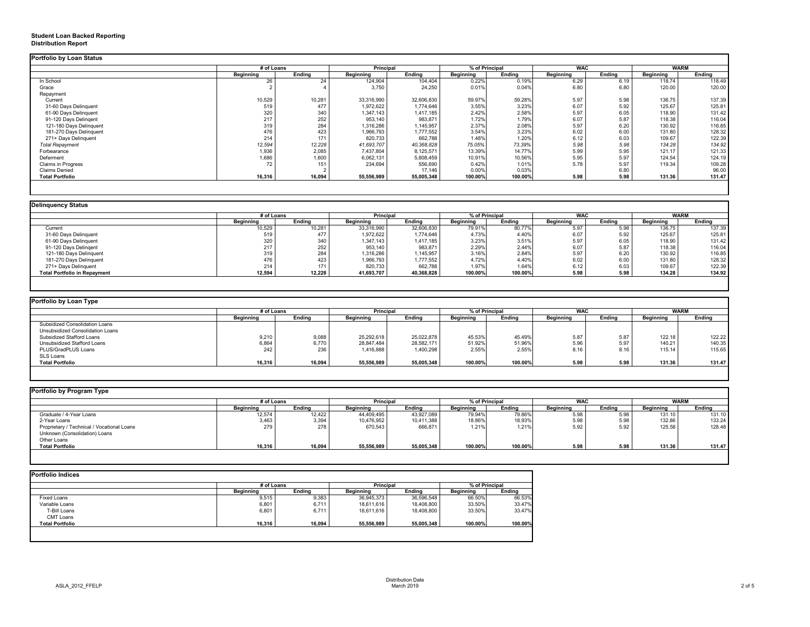## **Student Loan Backed Reporting Distribution Report**

|                           | # of Loans       |               | <b>Principal</b> |               | % of Principal   |               | <b>WAC</b>       |               | <b>WARM</b>      |               |
|---------------------------|------------------|---------------|------------------|---------------|------------------|---------------|------------------|---------------|------------------|---------------|
|                           | <b>Beginning</b> | <b>Ending</b> | <b>Beginning</b> | <b>Ending</b> | <b>Beginning</b> | <b>Ending</b> | <b>Beginning</b> | <b>Ending</b> | <b>Beginning</b> | <b>Ending</b> |
| In School                 | 26               | 24            | 124,904          | 104,404       | 0.22%            | 0.19%         | 6.29             | 6.19          | 118.74           | 118.49        |
| Grace                     |                  |               | 3,750            | 24,250        | 0.01%            | 0.04%         | 6.80             | 6.80          | 120.00           | 120.00        |
| Repayment                 |                  |               |                  |               |                  |               |                  |               |                  |               |
| Current                   | 10,529           | 10,281        | 33,316,990       | 32,606,830    | 59.97%           | 59.28%        | 5.97             | 5.98          | 136.75           | 137.39        |
| 31-60 Days Delinquent     | 519              | 477           | 1,972,622        | 1,774,646     | 3.55%            | 3.23%         | 6.07             | 5.92          | 125.67           | 125.81        |
| 61-90 Days Delinquent     | 320              | 340           | 1,347,143        | 1,417,185     | 2.42%            | 2.58%         | 5.97             | 6.05          | 118.90           | 131.42        |
| 91-120 Days Delingent     | 217              | 252           | 953,140          | 983,871       | 1.72%            | 1.79%         | 6.07             | 5.87          | 118.38           | 116.04        |
| 121-180 Days Delinquent   | 319              | 284           | 1,316,286        | 1,145,957     | 2.37%            | 2.08%         | 5.97             | 6.20          | 130.92           | 116.85        |
| 181-270 Days Delinquent   | 476              | 423           | 1,966,793        | 1,777,552     | 3.54%            | 3.23%         | 6.02             | 6.00          | 131.80           | 128.32        |
| 271+ Days Delinquent      | 214              | 171           | 820,733          | 662,788       | 1.48%            | 1.20%         | 6.12             | 6.03          | 109.67           | 122.39        |
| <b>Total Repayment</b>    | 12,594           | 12,228        | 41,693,707       | 40,368,828    | 75.05%           | 73.39%        | 5.98             | 5.98          | 134.28           | 134.92        |
| Forbearance               | 1,936            | 2,085         | 7,437,804        | 8,125,571     | 13.39%           | 14.77%        | 5.99             | 5.95          | 121.17           | 121.33        |
| Deferment                 | 1,686            | 1,600         | 6,062,131        | 5,808,459     | 10.91%           | 10.56%        | 5.95             | 5.97          | 124.54           | 124.19        |
| <b>Claims in Progress</b> | 72               | 151           | 234,694          | 556,690       | 0.42%            | 1.01%         | 5.78             | 5.97          | 119.34           | 109.28        |
| <b>Claims Denied</b>      |                  |               |                  | 17,146        | 0.00%            | 0.03%         |                  | 6.80          |                  | 96.00         |
| <b>Total Portfolio</b>    | 16,316           | 16,094        | 55,556,989       | 55,005,348    | 100.00%          | 100.00%       | 5.98             | 5.98          | 131.36           | 131.47        |

| <b>Delinguency Status</b>           |                  |               |                  |               |                  |                |                  |               |                  |               |
|-------------------------------------|------------------|---------------|------------------|---------------|------------------|----------------|------------------|---------------|------------------|---------------|
|                                     | # of Loans       |               | <b>Principal</b> |               |                  | % of Principal | <b>WAC</b>       |               | <b>WARM</b>      |               |
|                                     | <b>Beginning</b> | <b>Ending</b> | <b>Beginning</b> | <b>Ending</b> | <b>Beginning</b> | Ending         | <b>Beginning</b> | <b>Ending</b> | <b>Beginning</b> | <b>Ending</b> |
| Current                             | 10,529           | 10,281        | 33,316,990       | 32,606,830    | 79.91%           | 80.77%         | 5.97             | 5.98          | 136.75           | 137.39        |
| 31-60 Days Delinquent               | 519              | 477           | 1,972,622        | 1,774,646     | 4.73%            | 4.40%          | 6.07             | 5.92          | 125.67           | 125.81        |
| 61-90 Days Delinquent               | 320              | 340           | 1,347,143        | 1,417,185     | 3.23%            | 3.51%          | 5.97             | 6.05          | 118.90           | 131.42        |
| 91-120 Days Delinqent               | 217              | 252           | 953,140          | 983,871       | 2.29%            | 2.44%          | 6.07             | 5.87          | 118.38           | 116.04        |
| 121-180 Days Delinquent             | 319              | 284           | 1,316,286        | 1,145,957     | 3.16%            | 2.84%          | 5.97             | 6.20          | 130.92           | 116.85        |
| 181-270 Days Delinquent             | 476              | 423           | 1,966,793        | 1,777,552     | 4.72%            | 4.40%          | 6.02             | 6.00          | 131.80           | 128.32        |
| 271+ Days Delinquent                | 214              | 171           | 820,733          | 662,788       | 1.97%            | 1.64%          | 6.12             | 6.03          | 109.67           | 122.39        |
| <b>Total Portfolio in Repayment</b> | 12,594           | 12,228        | 41,693,707       | 40,368,828    | 100.00%          | 100.00%        | 5.98             | 5.98          | 134.28           | 134.92        |
|                                     |                  |               |                  |               |                  |                |                  |               |                  |               |

| <b>Portfolio by Loan Type</b> |  |
|-------------------------------|--|

|                                       |                  | # of Loans    |                  | <b>Principal</b> |                  | <b>WAC</b><br>% of Principal |                  |               |                  | <b>WARM</b> |  |
|---------------------------------------|------------------|---------------|------------------|------------------|------------------|------------------------------|------------------|---------------|------------------|-------------|--|
|                                       | <b>Beginning</b> | <b>Ending</b> | <b>Beginning</b> | <b>Ending</b>    | <b>Beginning</b> | <b>Ending</b>                | <b>Beginning</b> | <b>Ending</b> | <b>Beginning</b> | Ending      |  |
| <b>Subsidized Consolidation Loans</b> |                  |               |                  |                  |                  |                              |                  |               |                  |             |  |
| Unsubsidized Consolidation Loans      |                  |               |                  |                  |                  |                              |                  |               |                  |             |  |
| <b>Subsidized Stafford Loans</b>      | 9,210            | 9,088         | 25,292,618       | 25,022,878       | 45.53%           | 45.49%                       | 5.87             | 5.87          | 122.18           | 122.22      |  |
| Unsubsidized Stafford Loans           | 6,864            | 6,770         | 28,847,484       | 28,582,171       | 51.92%           | 51.96%                       | 5.96             | 5.97          | 140.21           | 140.35      |  |
| PLUS/GradPLUS Loans                   | 242              | 236           | 1,416,888        | 1,400,298        | 2.55%            | 2.55%                        | 8.16             | 8.16          | 115.14           | 115.65      |  |
| SLS Loans                             |                  |               |                  |                  |                  |                              |                  |               |                  |             |  |
| <b>Total Portfolio</b>                | 16,316           | 16,094        | 55,556,989       | 55,005,348       | 100.00%          | 100.00%                      | 5.98             | 5.98          | 131.36           | 131.47      |  |

|                                            | # of Loans       |               | <b>Principal</b> |               | % of Principal   |               | <b>WAC</b>       |               |                  | <b>WARM</b>   |  |
|--------------------------------------------|------------------|---------------|------------------|---------------|------------------|---------------|------------------|---------------|------------------|---------------|--|
|                                            | <b>Beginning</b> | <b>Ending</b> | <b>Beginning</b> | <b>Ending</b> | <b>Beginning</b> | <b>Ending</b> | <b>Beginning</b> | <b>Ending</b> | <b>Beginning</b> | <b>Ending</b> |  |
| Graduate / 4-Year Loans                    | 12,574           | 12,422        | 44,409,495       | 43,927,089    | 79.94%           | 79.86%        | 5.98             | 5.98          | 131.10           | 131.10        |  |
| 2-Year Loans                               | 3,463            | 3,394         | 10,476,952       | 10,411,388    | 18.86%           | 18.93%        | 5.98             | 5.98          | 132.86           | 133.24        |  |
| Proprietary / Technical / Vocational Loans | 279              | 278           | 670,543          | 666,871       | 1.21%            | 1.21%         | 5.92             | 5.92          | 125.58           | 128.48        |  |
| Unknown (Consolidation) Loans              |                  |               |                  |               |                  |               |                  |               |                  |               |  |
| Other Loans                                |                  |               |                  |               |                  |               |                  |               |                  |               |  |
| <b>Total Portfolio</b>                     | 16,316           | 16,094        | 55,556,989       | 55,005,348    | 100.00%          | 100.00%       | 5.98             | 5.98          | 131.36           | 131.47        |  |

|                        | # of Loans       |               | <b>Principal</b> |               | % of Principal   |               |
|------------------------|------------------|---------------|------------------|---------------|------------------|---------------|
|                        | <b>Beginning</b> | <b>Ending</b> | <b>Beginning</b> | <b>Ending</b> | <b>Beginning</b> | <b>Ending</b> |
| <b>Fixed Loans</b>     | 9,515            | 9,383         | 36,945,373       | 36,596,548    | 66.50%           | 66.53%        |
| Variable Loans         | 6,801            | 6,711         | 18,611,616       | 18,408,800    | 33.50%           | 33.47%        |
| T-Bill Loans           | 6,801            | 6,711         | 18,611,616       | 18,408,800    | 33.50%           | 33.47%        |
| <b>CMT Loans</b>       |                  |               |                  |               |                  |               |
| <b>Total Portfolio</b> | 16,316           | 16,094        | 55,556,989       | 55,005,348    | 100.00%          | 100.00%       |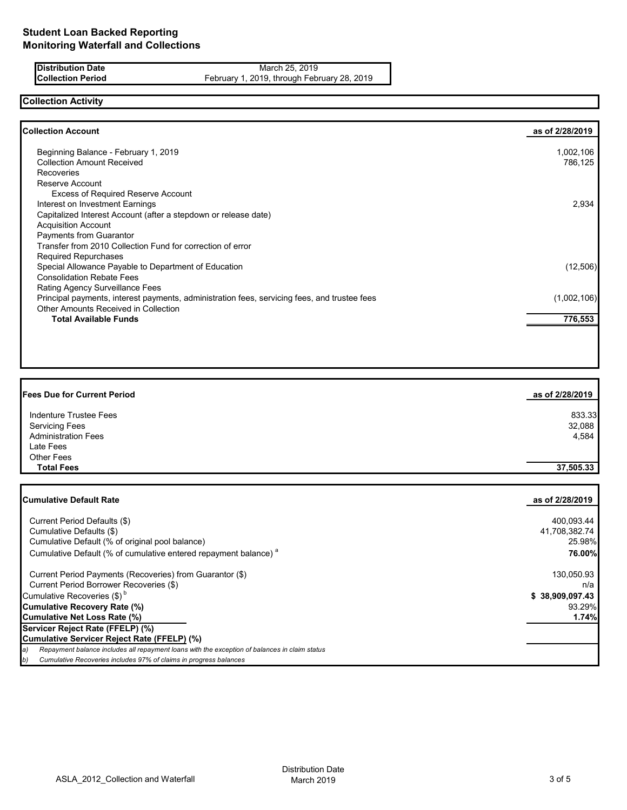**Distribution Date** March 25, 2019<br>**Collection Period** February 1, 2019, through February 1, 2019, through February 1, 2019, through February 1, 2019 February 1, 2019, through February 28, 2019

### **Collection Activity**

| <b>Collection Account</b>                                                                    | as of 2/28/2019 |
|----------------------------------------------------------------------------------------------|-----------------|
| Beginning Balance - February 1, 2019                                                         | 1,002,106       |
| <b>Collection Amount Received</b>                                                            | 786,125         |
| <b>Recoveries</b>                                                                            |                 |
| Reserve Account                                                                              |                 |
| <b>Excess of Required Reserve Account</b>                                                    |                 |
| Interest on Investment Earnings                                                              | 2,934           |
| Capitalized Interest Account (after a stepdown or release date)                              |                 |
| <b>Acquisition Account</b>                                                                   |                 |
| Payments from Guarantor                                                                      |                 |
| Transfer from 2010 Collection Fund for correction of error                                   |                 |
| <b>Required Repurchases</b>                                                                  |                 |
| Special Allowance Payable to Department of Education                                         | (12,506)        |
| <b>Consolidation Rebate Fees</b>                                                             |                 |
| Rating Agency Surveillance Fees                                                              |                 |
| Principal payments, interest payments, administration fees, servicing fees, and trustee fees | (1,002,106)     |
| Other Amounts Received in Collection                                                         |                 |
| <b>Total Available Funds</b>                                                                 | 776,553         |
|                                                                                              |                 |

| <b>Fees Due for Current Period</b> | as of 2/28/2019 |
|------------------------------------|-----------------|
| Indenture Trustee Fees             | 833.33          |
| <b>Servicing Fees</b>              | 32,088          |
| <b>Administration Fees</b>         | 4,584           |
| Late Fees                          |                 |
| <b>Other Fees</b>                  |                 |
| <b>Total Fees</b>                  | 37,505.33       |

| <b>Cumulative Default Rate</b>                                                                      | as of 2/28/2019 |
|-----------------------------------------------------------------------------------------------------|-----------------|
|                                                                                                     |                 |
| Current Period Defaults (\$)                                                                        | 400,093.44      |
| Cumulative Defaults (\$)                                                                            | 41,708,382.74   |
| Cumulative Default (% of original pool balance)                                                     | 25.98%          |
| Cumulative Default (% of cumulative entered repayment balance) <sup>a</sup>                         | 76.00%          |
| Current Period Payments (Recoveries) from Guarantor (\$)                                            | 130,050.93      |
| Current Period Borrower Recoveries (\$)                                                             | n/a             |
| Cumulative Recoveries (\$) <sup>b</sup>                                                             | \$38,909,097.43 |
| <b>Cumulative Recovery Rate (%)</b>                                                                 | 93.29%          |
| <b>Cumulative Net Loss Rate (%)</b>                                                                 | 1.74%           |
| Servicer Reject Rate (FFELP) (%)                                                                    |                 |
| Cumulative Servicer Reject Rate (FFELP) (%)                                                         |                 |
| Repayment balance includes all repayment loans with the exception of balances in claim status<br>a) |                 |
| Cumulative Recoveries includes 97% of claims in progress balances<br>b)                             |                 |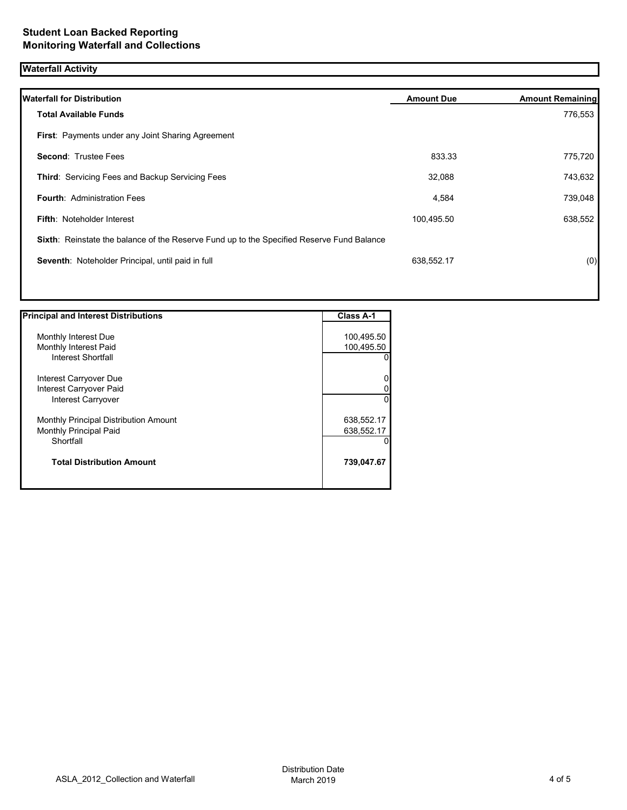# **Waterfall Activity**

| <b>Waterfall for Distribution</b>                                                         | <b>Amount Due</b> | <b>Amount Remaining</b> |
|-------------------------------------------------------------------------------------------|-------------------|-------------------------|
| <b>Total Available Funds</b>                                                              |                   | 776,553                 |
| <b>First: Payments under any Joint Sharing Agreement</b>                                  |                   |                         |
| <b>Second: Trustee Fees</b>                                                               | 833.33            | 775,720                 |
| Third: Servicing Fees and Backup Servicing Fees                                           | 32,088            | 743,632                 |
| <b>Fourth: Administration Fees</b>                                                        | 4,584             | 739,048                 |
| <b>Fifth: Noteholder Interest</b>                                                         | 100,495.50        | 638,552                 |
| Sixth: Reinstate the balance of the Reserve Fund up to the Specified Reserve Fund Balance |                   |                         |
| Seventh: Noteholder Principal, until paid in full                                         | 638,552.17        | (0)                     |
|                                                                                           |                   |                         |
|                                                                                           |                   |                         |

| <b>Principal and Interest Distributions</b> | <b>Class A-1</b> |
|---------------------------------------------|------------------|
|                                             |                  |
| Monthly Interest Due                        | 100,495.50       |
| Monthly Interest Paid                       | 100,495.50       |
| Interest Shortfall                          | 0                |
| Interest Carryover Due                      | 0                |
| Interest Carryover Paid                     | 0                |
| Interest Carryover                          | $\Omega$         |
| Monthly Principal Distribution Amount       | 638,552.17       |
| Monthly Principal Paid                      | 638,552.17       |
| Shortfall                                   | 0                |
| <b>Total Distribution Amount</b>            | 739,047.67       |
|                                             |                  |